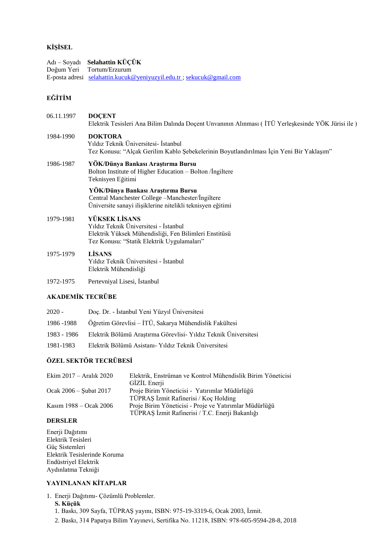## **KİŞİSEL**

Adı – Soyadı **Selahattin KÜÇÜK** Tortum/Erzurum E-posta adresi [selahattin.kucuk@yeniyuzyil.edu.tr](mailto:selahattin.kucuk@yeniyuzyil.edu.tr) ; [sekucuk@gmail.com](mailto:sekucuk@gmail.com)

## **EĞİTİM**

06.11.1997 **DOÇENT** Elektrik Tesisleri Ana Bilim Dalında Doçent Unvanının Alınması ( İTÜ Yerleşkesinde YÖK Jürisi ile )

## 1984-1990 **DOKTORA** Yıldız Teknik Üniversitesi- İstanbul Tez Konusu: "Alçak Gerilim Kablo Şebekelerinin Boyutlandırılması İçin Yeni Bir Yaklaşım"

1986-1987 **YÖK/Dünya Bankası Araştırma Bursu** Bolton Institute of Higher Education – Bolton /İngiltere Teknisyen Eğitimi

#### **YÖK/Dünya Bankası Araştırma Bursu** Central Manchester College –Manchester/İngiltere Üniversite sanayi ilişiklerine nitelikli teknisyen eğitimi

## 1979-1981 **YÜKSEK LİSANS**

Yıldız Teknik Üniversitesi - İstanbul Elektrik Yüksek Mühendisliği, Fen Bilimleri Enstitüsü Tez Konusu: "Statik Elektrik Uygulamaları"

## 1975-1979 **LİSANS** Yıldız Teknik Üniversitesi - İstanbul Elektrik Mühendisliği

1972-1975 Pertevniyal Lisesi, İstanbul

# **AKADEMİK TECRÜBE**

| 2020 -      | Doç. Dr. - İstanbul Yeni Yüzyıl Üniversitesi                    |
|-------------|-----------------------------------------------------------------|
| 1986 - 1988 | Öğretim Görevlisi - İTÜ, Sakarya Mühendislik Fakültesi          |
| 1983 - 1986 | Elektrik Bölümü Araştırma Görevlisi- Yıldız Teknik Üniversitesi |
| 1981-1983   | Elektrik Bölümü Asistanı- Yıldız Teknik Üniversitesi            |

## **ÖZEL SEKTÖR TECRÜBESİ**

| Elektrik, Enstrüman ve Kontrol Mühendislik Birim Yöneticisi |
|-------------------------------------------------------------|
| GİZİL Enerji                                                |
| Proje Birim Yöneticisi - Yatırımlar Müdürlüğü               |
| TÜPRAŞ İzmit Rafinerisi / Koç Holding                       |
| Proje Birim Yöneticisi - Proje ve Yatırımlar Müdürlüğü      |
| TÜPRAŞ İzmit Rafinerisi / T.C. Enerji Bakanlığı             |
|                                                             |

#### **DERSLER**

Enerji Dağıtımı Elektrik Tesisleri Güç Sistemleri Elektrik Tesislerinde Koruma Endüstriyel Elektrik Aydınlatma Tekniği

## **YAYINLANAN KİTAPLAR**

- 1. Enerji Dağıtımı- Çözümlü Problemler.
	- **S. Küçük**
	- 1. Baskı, 309 Sayfa, TÜPRAŞ yayını, ISBN: 975-19-3319-6, Ocak 2003, İzmit.
	- 2. Baskı, 314 Papatya Bilim Yayınevi, Sertifika No. 11218, ISBN: 978-605-9594-28-8, 2018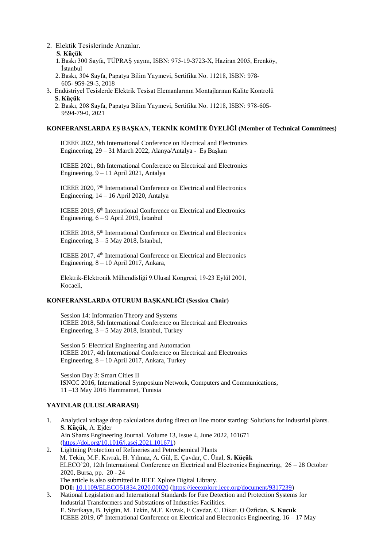- 2. Elektik Tesislerinde Arızalar.
	- **S. Küçük**
	- 1.Baskı 300 Sayfa, TÜPRAŞ yayını, ISBN: 975-19-3723-X, Haziran 2005, Erenköy, İstanbul
	- 2. Baskı, 304 Sayfa, Papatya Bilim Yayınevi, Sertifika No. 11218, ISBN: 978- 605- 959-29-5, 2018
- 3. Endüstriyel Tesislerde Elektrik Tesisat Elemanlarının Montajlarının Kalite Kontrolü **S. Küçük**
	- 2. Baskı, 208 Sayfa, Papatya Bilim Yayınevi, Sertifika No. 11218, ISBN: 978-605- 9594-79-0, 2021

#### **KONFERANSLARDA EŞ BAŞKAN, TEKNİK KOMİTE ÜYELİĞİ (Member of Technical Committees)**

ICEEE 2022, 9th International Conference on Electrical and Electronics Engineering, 29 – 31 March 2022, Alanya/Antalya - Eş Başkan

ICEEE 2021, 8th International Conference on Electrical and Electronics Engineering, 9 – 11 April 2021, Antalya

ICEEE 2020, 7<sup>th</sup> International Conference on Electrical and Electronics Engineering, 14 – 16 April 2020, Antalya

ICEEE 2019, 6<sup>th</sup> International Conference on Electrical and Electronics Engineering, 6 – 9 April 2019, İstanbul

ICEEE 2018, 5<sup>th</sup> International Conference on Electrical and Electronics Engineering,  $3 - 5$  May 2018, İstanbul,

ICEEE 2017, 4<sup>th</sup> International Conference on Electrical and Electronics Engineering, 8 – 10 April 2017, Ankara,

Elektrik-Elektronik Mühendisliği 9.Ulusal Kongresi, 19-23 Eylül 2001, Kocaeli,

#### **KONFERANSLARDA OTURUM BAŞKANLIĞI (Session Chair)**

Session 14: Information Theory and Systems ICEEE 2018, 5th International Conference on Electrical and Electronics Engineering, 3 – 5 May 2018, Istanbul, Turkey

Session 5: Electrical Engineering and Automation ICEEE 2017, 4th International Conference on Electrical and Electronics Engineering, 8 – 10 April 2017, Ankara, Turkey

Session Day 3: Smart Cities II ISNCC 2016, International Symposium Network, Computers and Communications, 11 –13 May 2016 Hammamet, Tunisia

## **YAYINLAR (ULUSLARARASI)**

- 1. Analytical voltage drop calculations during direct on line motor starting: Solutions for industrial plants. **S. Küçük**, A. Ejder Ain Shams Engineering Journal. Volume 13, Issue 4, June 2022, 101671 [\(https://doi.org/10.1016/j.asej.2021.101671\)](https://doi.org/10.1016/j.asej.2021.101671) 2. Lightning Protection of Refineries and Petrochemical Plants
- M. Tekin, M.F. Kıvrak, H. Yılmaz, A. Gül, E. Çavdar, C. Ünal, **S. Küçük** ELECO'20, 12th International Conference on Electrical and Electronics Engineering, 26 – 28 October 2020, Bursa, pp. 20 - 24 The article is also submitted in IEEE Xplore Digital Library. **DOI:** [10.1109/ELECO51834.2020.00020](https://doi.org/10.1109/ELECO51834.2020.00020) [\(https://ieeexplore.ieee.org/document/9317239\)](https://ieeexplore.ieee.org/document/9317239)
- 3. National Legislation and International Standards for Fire Detection and Protection Systems for Industrial Transformers and Substations of Industries Facilities. E. Sivrikaya, B. Iyigün, M. Tekin, M.F. Kıvrak, E Cavdar, C. Diker. O Özfidan, **S. Kucuk** ICEEE 2019,  $6<sup>th</sup>$  International Conference on Electrical and Electronics Engineering,  $16 - 17$  May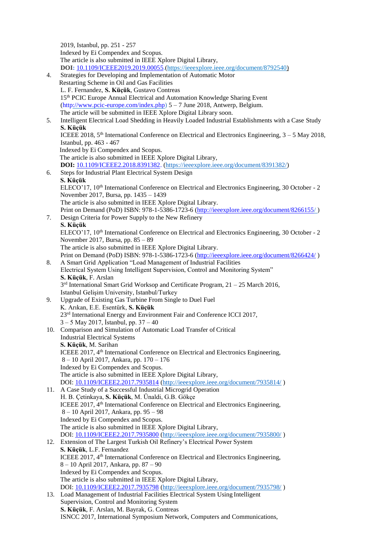2019, Istanbul, pp. 251 - 257 Indexed by Ei Compendex and Scopus. The article is also submitted in IEEE Xplore Digital Library, **DOI:** [10.1109/ICEEE2019.2019.00055.](https://doi.org/10.1109/ICEEE2019.2019.00055)[\(https://ieeexplore.ieee.org/document/8792540\)](https://ieeexplore.ieee.org/document/8792540) 4. Strategies for Developing and Implementation of Automatic Motor Restarting Scheme in Oil and Gas Facilities L. F. Fernandez, **S. Küçük**, Gustavo Contreas 15th PCIC Europe Annual Electrical and Automation Knowledge Sharing Event [\(http://www.pcic-europe.com/index.php\) 5](http://www.pcic-europe.com/index.php)) – 7 June 2018, Antwerp, Belgium. The article will be submitted in IEEE Xplore Digital Library soon. 5. Intelligent Electrical Load Shedding in Heavily Loaded Industrial Establishments with a Case Study **S. Küçük** ICEEE 2018,  $5<sup>th</sup>$  International Conference on Electrical and Electronics Engineering,  $3 - 5$  May 2018, Istanbul, pp. 463 - 467 Indexed by Ei Compendex and Scopus. The article is also submitted in IEEE Xplore Digital Library, **DOI:** [10.1109/ICEEE2.2018.8391382.](https://doi.org/10.1109/ICEEE2.2018.8391382) [\(https://ieeexplore.ieee.org/document/8391382/\)](https://ieeexplore.ieee.org/document/8391382/) 6. Steps for Industrial Plant Electrical System Design **S. Küçük** ELECO'17, 10<sup>th</sup> International Conference on Electrical and Electronics Engineering, 30 October - 2 November 2017, Bursa, pp. 1435 – 1439 The article is also submitted in IEEE Xplore Digital Library. Print on Demand (PoD) ISBN: 978-1-5386-1723-6 (http://ieeexplore.ieee.org/document/8266155/) 7. Design Criteria for Power Supply to the New Refinery **S. Küçük** ELECO'17, 10<sup>th</sup> International Conference on Electrical and Electronics Engineering, 30 October - 2 November 2017, Bursa, pp. 85 – 89 The article is also submitted in IEEE Xplore Digital Library. Print on Demand (PoD) ISBN: 978-1-5386-1723-6 [\(http://ieeexplore.ieee.org/document/8266424/](http://ieeexplore.ieee.org/document/8266424/)) 8. A Smart Grid Application "Load Management of Industrial Facilities Electrical System Using Intelligent Supervision, Control and Monitoring System" **S. Küçük**, F. Arslan 3 rd International Smart Grid Worksop and Certificate Program, 21 – 25 March 2016, Istanbul Gelişim University, Istanbul/Turkey 9. Upgrade of Existing Gas Turbine From Single to Duel Fuel K. Arıkan, E.E. Esentürk, **S. Küçük** 23<sup>rd</sup> International Energy and Environment Fair and Conference ICCI 2017, 3 – 5 May 2017, İstanbul, pp. 37 – 40 10. Comparison and Simulation of Automatic Load Transfer of Critical Industrial Electrical Systems **S. Küçük**, M. Sarihan ICEEE 2017, 4<sup>th</sup> International Conference on Electrical and Electronics Engineering, 8 – 10 April 2017, Ankara, pp. 170 – 176 Indexed by Ei Compendex and Scopus. The article is also submitted in IEEE Xplore Digital Library, DOI: [10.1109/ICEEE2.2017.7935814](https://doi.org/10.1109/ICEEE2.2017.7935814) [\(http://ieeexplore.ieee.org/document/7935814/](http://ieeexplore.ieee.org/document/7935814/) ) 11. A Case Study of a Successful Industrial Microgrid Operation H. B. Çetinkaya, **S. Küçük**, M. Ünaldi, G.B. Gökçe ICEEE 2017, 4th International Conference on Electrical and Electronics Engineering, 8 – 10 April 2017, Ankara, pp. 95 – 98 Indexed by Ei Compendex and Scopus. The article is also submitted in IEEE Xplore Digital Library, DOI: [10.1109/ICEEE2.2017.7935800](https://doi.org/10.1109/ICEEE2.2017.7935800) [\(http://ieeexplore.ieee.org/document/7935800/](http://ieeexplore.ieee.org/document/7935800/) ) 12. Extension of The Largest Turkish Oil Refinery's Electrical Power System **S. Küçük**, L.F. Fernandez ICEEE 2017, 4<sup>th</sup> International Conference on Electrical and Electronics Engineering, 8 – 10 April 2017, Ankara, pp. 87 – 90 Indexed by Ei Compendex and Scopus. The article is also submitted in IEEE Xplore Digital Library, DOI: [10.1109/ICEEE2.2017.7935798](https://doi.org/10.1109/ICEEE2.2017.7935798) [\(http://ieeexplore.ieee.org/document/7935798/](http://ieeexplore.ieee.org/document/7935798/) ) 13. Load Management of Industrial Facilities Electrical System Using Intelligent Supervision, Control and Monitoring System **S. Küçük**, F. Arslan, M. Bayrak, G. Contreas ISNCC 2017, International Symposium Network, Computers and Communications,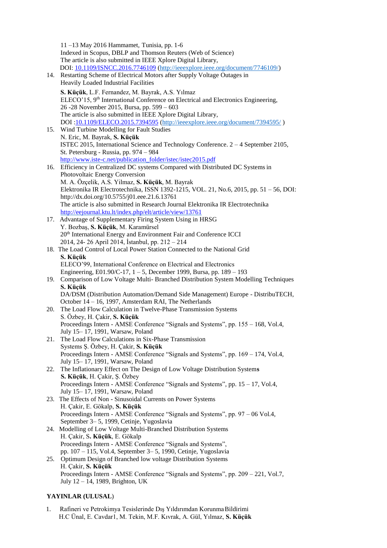|     | 11-13 May 2016 Hammamet, Tunisia, pp. 1-6                                                     |
|-----|-----------------------------------------------------------------------------------------------|
|     | Indexed in Scopus, DBLP and Thomson Reuters (Web of Science)                                  |
|     | The article is also submitted in IEEE Xplore Digital Library,                                 |
|     | DOI: 10.1109/ISNCC.2016.7746109 (http://ieeexplore.ieee.org/document/7746109/)                |
| 14. | Restarting Scheme of Electrical Motors after Supply Voltage Outages in                        |
|     | Heavily Loaded Industrial Facilities                                                          |
|     |                                                                                               |
|     | S. Küçük, L.F. Fernandez, M. Bayrak, A.S. Yılmaz                                              |
|     | ELECO'15, 9 <sup>th</sup> International Conference on Electrical and Electronics Engineering, |
|     | 26 -28 November 2015, Bursa, pp. 599 - 603                                                    |
|     | The article is also submitted in IEEE Xplore Digital Library,                                 |
|     | DOI:10.1109/ELECO.2015.7394595 (http://ieeexplore.ieee.org/document/7394595/)                 |
| 15. | Wind Turbine Modelling for Fault Studies                                                      |
|     | N. Eric, M. Bayrak, S. Küçük                                                                  |
|     | ISTEC 2015, International Science and Technology Conference. 2 - 4 September 2105,            |
|     | St. Petersburg - Russia, pp. 974 - 984                                                        |
|     | http://www.iste-c.net/publication folder/istec/istec2015.pdf                                  |
| 16. | Efficiency in Centralized DC systems Compared with Distributed DC Systems in                  |
|     | Photovoltaic Energy Conversion                                                                |
|     | M. A. Özçelik, A.S. Yilmaz, S. Küçük, M. Bayrak                                               |
|     | Elektronika IR Electrotechnika, ISSN 1392-1215, VOL. 21, No.6, 2015, pp. 51 - 56, DOI:        |
|     | http://dx.doi.org/10.5755/j01.eee.21.6.13761                                                  |
|     | The article is also submitted in Research Journal Elektronika IR Electrotechnika              |
|     | http://eejournal.ktu.lt/index.php/elt/article/view/13761                                      |
| 17. | Advantage of Supplementary Firing System Using in HRSG                                        |
|     | Y. Bozbaş, S. Küçük, M. Karamürsel                                                            |
|     | 20 <sup>th</sup> International Energy and Environment Fair and Conference ICCI                |
|     | 2014, 24-26 April 2014, İstanbul, pp. 212 - 214                                               |
|     | 18. The Load Control of Local Power Station Connected to the National Grid                    |
|     | S. Küçük                                                                                      |
|     | ELECO'99, International Conference on Electrical and Electronics                              |
|     | Engineering, E01.90/C-17, 1 – 5, December 1999, Bursa, pp. 189 – 193                          |
| 19. | Comparison of Low Voltage Multi-Branched Distribution System Modelling Techniques             |
|     | S. Küçük                                                                                      |
|     | DA/DSM (Distribution Automation/Demand Side Management) Europe - DistribuTECH,                |
|     | October 14 - 16, 1997, Amsterdam RAI, The Netherlands                                         |
| 20. | The Load Flow Calculation in Twelve-Phase Transmission Systems                                |
|     | S. Özbey, H. Çakir, S. Küçük                                                                  |
|     | Proceedings Intern - AMSE Conference "Signals and Systems", pp. 155 – 168, Vol.4,             |
|     | July 15-17, 1991, Warsaw, Poland                                                              |
| 21. | The Load Flow Calculations in Six-Phase Transmission                                          |
|     | Systems S. Özbey, H. Çakir, S. Küçük                                                          |
|     | Proceedings Intern - AMSE Conference "Signals and Systems", pp. 169 - 174, Vol.4,             |
|     | July 15-17, 1991, Warsaw, Poland                                                              |
| 22. | The Inflationary Effect on The Design of Low Voltage Distribution Systems                     |
|     | S. Küçük, H. Çakir, Ş. Özbey                                                                  |
|     | Proceedings Intern - AMSE Conference "Signals and Systems", pp. 15 – 17, Vol.4,               |
|     | July 15-17, 1991, Warsaw, Poland                                                              |
| 23. | The Effects of Non - Sinusoidal Currents on Power Systems                                     |
|     | H. Çakir, E. Gökalp, S. Küçük                                                                 |
|     | Proceedings Intern - AMSE Conference "Signals and Systems", pp. 97 – 06 Vol.4,                |
|     | September 3-5, 1999, Cetinje, Yugoslavia                                                      |
| 24. | Modelling of Low Voltage Multi-Branched Distribution Systems                                  |
|     | H. Çakir, S. Küçük, E. Gökalp                                                                 |
|     | Proceedings Intern - AMSE Conference "Signals and Systems",                                   |
|     | pp. 107 - 115, Vol.4, September 3-5, 1990, Cetinje, Yugoslavia                                |
| 25. | Optimum Design of Branched low voltage Distribution Systems                                   |
|     | H. Çakir, S. Küçük                                                                            |
|     | Proceedings Intern - AMSE Conference "Signals and Systems", pp. 209 - 221, Vol.7,             |
|     | July 12 - 14, 1989, Brighton, UK                                                              |
|     |                                                                                               |

# **YAYINLAR (ULUSAL**)

1. Rafineri ve Petrokimya Tesislerinde Dış Yıldırımdan KorunmaBildirimi H.C Ünal, E. Cavdar1, M. Tekin, M.F. Kıvrak, A. Gül, Yılmaz, **S. Küçük**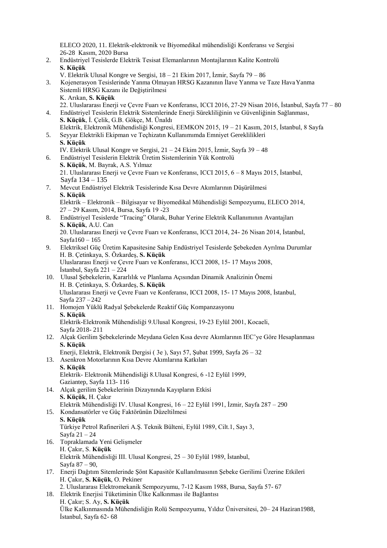ELECO 2020, 11. Elektrik-elektronik ve Biyomedikal mühendisliği Konferansı ve Sergisi 26-28 Kasım, 2020 Bursa

- 2. Endüstriyel Tesislerde Elektrik Tesisat Elemanlarının Montajlarının Kalite Kontrolü **S. Küçük**
	- V. Elektrik Ulusal Kongre ve Sergisi, 18 21 Ekim 2017, İzmir, Sayfa 79 86
- 3. Kojenerasyon Tesislerinde Yanma Olmayan HRSG Kazanının İlave Yanma ve Taze Hava Yanma Sistemli HRSG Kazanı ile Değiştirilmesi
	- K. Arıkan, **S. Küçük**
	- 22. Uluslararası Enerji ve Çevre Fuarı ve Konferansı, ICCI 2016, 27-29 Nisan 2016, İstanbul, Sayfa 77 80
- 4. Endüstriyel Tesislerin Elektrik Sistemlerinde Enerji Sürekliliğinin ve Güvenliğinin Sağlanması, **S. Küçük**, İ. Çelik, G.B. Gökçe, M. Ünaldı Elektrik, Elektronik Mühendisliği Kongresi, EEMKON 2015, 19 – 21 Kasım, 2015, İstanbul, 8 Sayfa
- 5. Seyyar Elektrikli Ekipman ve Teçhizatın Kullanımımda Emniyet Gereklilikleri **S. Küçük**
	- IV. Elektrik Ulusal Kongre ve Sergisi, 21 24 Ekim 2015, İzmir, Sayfa 39 48
- 6. Endüstriyel Tesislerin Elektrik Üretim Sistemlerinin Yük Kontrolü **S. Küçük**, M. Bayrak, A.S. Yılmaz

21. Uluslararası Enerji ve Çevre Fuarı ve Konferansı, ICCI 2015, 6 – 8 Mayıs 2015, İstanbul, Sayfa 134 – 135

7. Mevcut Endüstriyel Elektrik Tesislerinde Kısa Devre Akımlarının Düşürülmesi **S. Küçük**

Elektrik – Elektronik – Bilgisayar ve Biyomedikal Mühendisliği Sempozyumu, ELECO 2014, 27 – 29 Kasım, 2014, Bursa, Sayfa 19 -23

8. Endüstriyel Tesislerde "Tracing" Olarak, Buhar Yerine Elektrik Kullanımının Avantajları **S. Küçük**, A.U. Can

20. Uluslararası Enerji ve Çevre Fuarı ve Konferansı, ICCI 2014, 24- 26 Nisan 2014, İstanbul, Sayfa160 – 165

- 9. Elektriksel Güç Üretim Kapasitesine Sahip Endüstriyel Tesislerde Şebekeden Ayrılma Durumlar H. B. Çetinkaya, S. Özkardeş, **S. Küçük** Uluslararası Enerji ve Çevre Fuarı ve Konferansı, ICCI 2008, 15- 17 Mayıs 2008, İstanbul, Sayfa  $221 - 224$
- 10. Ulusal Şebekelerin, Kararlılık ve Planlama Açısından Dinamik Analizinin Önemi H. B. Çetinkaya, S. Özkardeş, **S. Küçük** Uluslararası Enerji ve Çevre Fuarı ve Konferansı, ICCI 2008, 15- 17 Mayıs 2008, İstanbul, Sayfa 237 – 242

#### 11. Homojen Yüklü Radyal Şebekelerde Reaktif Güç Kompanzasyonu **S. Küçük** Elektrik-Elektronik Mühendisliği 9.Ulusal Kongresi, 19-23 Eylül 2001, Kocaeli, Sayfa 2018- 211

- 12. Alçak Gerilim Şebekelerinde Meydana Gelen Kısa devre Akımlarının IEC'ye Göre Hesaplanması **S. Küçük**
	- Enerji, Elektrik, Elektronik Dergisi ( 3e ), Sayı 57, Şubat 1999, Sayfa 26 32
- 13. Asenkron Motorlarının Kısa Devre Akımlarına Katkıları **S. Küçük** Elektrik- Elektronik Mühendisliği 8.Ulusal Kongresi, 6 -12 Eylül 1999, Gaziantep, Sayfa 113- 116
- 14. Alçak gerilim Şebekelerinin Dizaynında Kayıpların Etkisi **S. Küçük**, H. Çakır Elektrik Mühendisliği IV. Ulusal Kongresi, 16 – 22 Eylül 1991, İzmir, Sayfa 287 – 290
- 15. Kondansatörler ve Güç Faktörünün Düzeltilmesi **S. Küçük** Türkiye Petrol Rafinerileri A.Ş. Teknik Bülteni, Eylül 1989, Cilt.1, Sayı 3, Sayfa 21 – 24
- 16. Topraklamada Yeni Gelişmeler H. Çakır, S. **Küçük** Elektrik Mühendisliği III. Ulusal Kongresi, 25 – 30 Eylül 1989, İstanbul, Sayfa 87 – 90,
- 17. Enerji Dağıtım Sitemlerinde Şönt Kapasitör Kullanılmasının Şebeke Gerilimi Üzerine Etkileri H. Çakır, **S. Küçük**, O. Pekiner
	- 2. Uluslararası Elektromekanik Sempozyumu, 7-12 Kasım 1988, Bursa, Sayfa 57- 67
- 18. Elektrik Enerjisi Tüketiminin Ülke Kalkınması ile Bağlantısı H. Çakır; S. Ay, **S. Küçük** Ülke Kalkınmasında Mühendisliğin Rolü Sempozyumu, Yıldız Üniversitesi, 20– 24 Haziran1988, İstanbul, Sayfa 62- 68